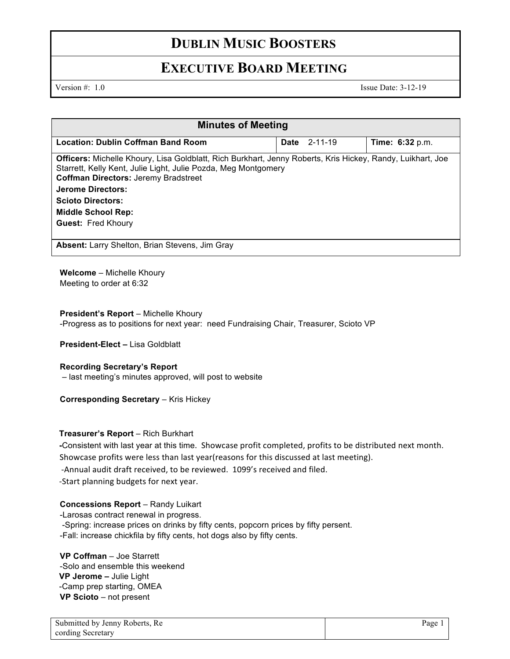## **DUBLIN MUSIC BOOSTERS**

### **EXECUTIVE BOARD MEETING**

Version #: 1.0 Issue Date: 3-12-19

| <b>Minutes of Meeting</b>                                                                                                                                                                                                                                                                                                              |                     |                        |
|----------------------------------------------------------------------------------------------------------------------------------------------------------------------------------------------------------------------------------------------------------------------------------------------------------------------------------------|---------------------|------------------------|
| <b>Location: Dublin Coffman Band Room</b>                                                                                                                                                                                                                                                                                              | <b>Date</b> 2-11-19 | <b>Time: 6:32</b> p.m. |
| Officers: Michelle Khoury, Lisa Goldblatt, Rich Burkhart, Jenny Roberts, Kris Hickey, Randy, Luikhart, Joe<br>Starrett, Kelly Kent, Julie Light, Julie Pozda, Meg Montgomery<br><b>Coffman Directors: Jeremy Bradstreet</b><br>Jerome Directors:<br><b>Scioto Directors:</b><br><b>Middle School Rep:</b><br><b>Guest: Fred Khoury</b> |                     |                        |
| Absent: Larry Shelton, Brian Stevens, Jim Gray                                                                                                                                                                                                                                                                                         |                     |                        |

**Welcome** – Michelle Khoury Meeting to order at 6:32

#### **President's Report** – Michelle Khoury

-Progress as to positions for next year: need Fundraising Chair, Treasurer, Scioto VP

**President-Elect –** Lisa Goldblatt

### **Recording Secretary's Report**

– last meeting's minutes approved, will post to website

#### **Corresponding Secretary – Kris Hickey**

### **Treasurer's Report** – Rich Burkhart

**-**Consistent with last year at this time. Showcase profit completed, profits to be distributed next month. Showcase profits were less than last year(reasons for this discussed at last meeting). -Annual audit draft received, to be reviewed. 1099's received and filed. -Start planning budgets for next year.

### **Concessions Report** – Randy Luikart

-Larosas contract renewal in progress. -Spring: increase prices on drinks by fifty cents, popcorn prices by fifty persent. -Fall: increase chickfila by fifty cents, hot dogs also by fifty cents.

**VP Coffman** – Joe Starrett -Solo and ensemble this weekend **VP Jerome –** Julie Light -Camp prep starting, OMEA **VP Scioto** – not present